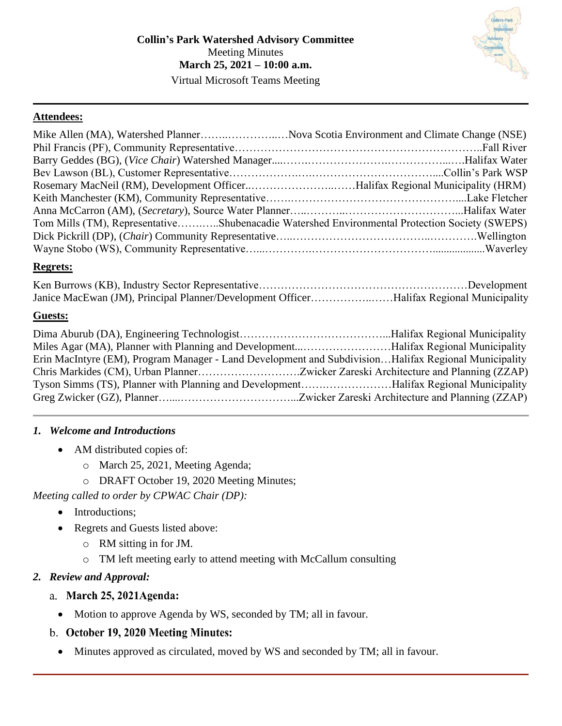### **Attendees:**

| Mike Allen (MA), Watershed PlannerNova Scotia Environment and Climate Change (NSE)            |  |
|-----------------------------------------------------------------------------------------------|--|
|                                                                                               |  |
|                                                                                               |  |
|                                                                                               |  |
| Rosemary MacNeil (RM), Development OfficerHalifax Regional Municipality (HRM)                 |  |
|                                                                                               |  |
|                                                                                               |  |
| Tom Mills (TM), RepresentativeShubenacadie Watershed Environmental Protection Society (SWEPS) |  |
|                                                                                               |  |
|                                                                                               |  |

### **Regrets:**

| Janice MacEwan (JM), Principal Planner/Development OfficerHalifax Regional Municipality |  |
|-----------------------------------------------------------------------------------------|--|

### **Guests:**

| Miles Agar (MA), Planner with Planning and DevelopmentHalifax Regional Municipality                  |  |
|------------------------------------------------------------------------------------------------------|--|
| Erin MacIntyre (EM), Program Manager - Land Development and SubdivisionHalifax Regional Municipality |  |
|                                                                                                      |  |
| Tyson Simms (TS), Planner with Planning and DevelopmentHalifax Regional Municipality                 |  |
|                                                                                                      |  |

### *1. Welcome and Introductions*

- AM distributed copies of:
	- o March 25, 2021, Meeting Agenda;
	- o DRAFT October 19, 2020 Meeting Minutes;

# *Meeting called to order by CPWAC Chair (DP):*

- Introductions;
- Regrets and Guests listed above:
	- o RM sitting in for JM.
	- o TM left meeting early to attend meeting with McCallum consulting

# *2. Review and Approval:*

- a. March 25, 2021Agenda:
	- Motion to approve Agenda by WS, seconded by TM; all in favour.
- b. October 19, 2020 Meeting Minutes:
	- Minutes approved as circulated, moved by WS and seconded by TM; all in favour.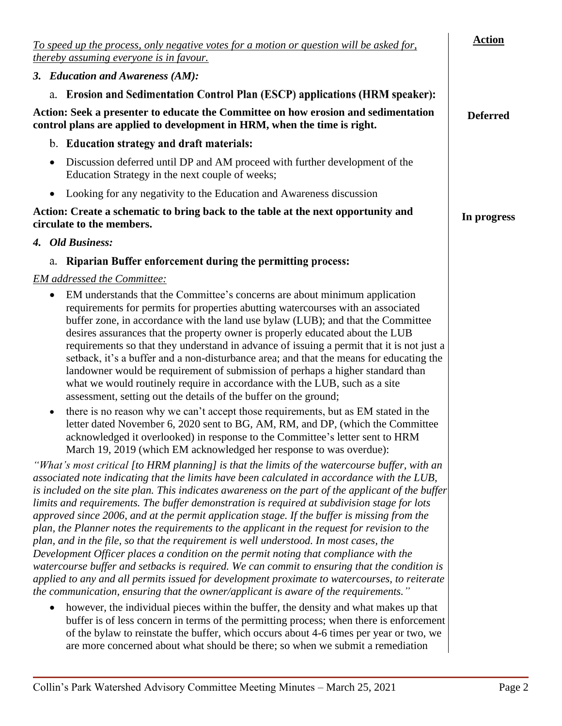| To speed up the process, only negative votes for a motion or question will be asked for,<br>thereby assuming everyone is in favour.                                                                                                                                                                                                                                                                                                                                                                                                                                                                                                                                                                                                                                                                                                                                                                                                                                                                                                                                      | <b>Action</b>   |
|--------------------------------------------------------------------------------------------------------------------------------------------------------------------------------------------------------------------------------------------------------------------------------------------------------------------------------------------------------------------------------------------------------------------------------------------------------------------------------------------------------------------------------------------------------------------------------------------------------------------------------------------------------------------------------------------------------------------------------------------------------------------------------------------------------------------------------------------------------------------------------------------------------------------------------------------------------------------------------------------------------------------------------------------------------------------------|-----------------|
| 3. Education and Awareness (AM):                                                                                                                                                                                                                                                                                                                                                                                                                                                                                                                                                                                                                                                                                                                                                                                                                                                                                                                                                                                                                                         |                 |
| a. Erosion and Sedimentation Control Plan (ESCP) applications (HRM speaker):                                                                                                                                                                                                                                                                                                                                                                                                                                                                                                                                                                                                                                                                                                                                                                                                                                                                                                                                                                                             |                 |
| Action: Seek a presenter to educate the Committee on how erosion and sedimentation<br>control plans are applied to development in HRM, when the time is right.                                                                                                                                                                                                                                                                                                                                                                                                                                                                                                                                                                                                                                                                                                                                                                                                                                                                                                           | <b>Deferred</b> |
| b. Education strategy and draft materials:                                                                                                                                                                                                                                                                                                                                                                                                                                                                                                                                                                                                                                                                                                                                                                                                                                                                                                                                                                                                                               |                 |
| Discussion deferred until DP and AM proceed with further development of the<br>Education Strategy in the next couple of weeks;                                                                                                                                                                                                                                                                                                                                                                                                                                                                                                                                                                                                                                                                                                                                                                                                                                                                                                                                           |                 |
| Looking for any negativity to the Education and Awareness discussion<br>$\bullet$                                                                                                                                                                                                                                                                                                                                                                                                                                                                                                                                                                                                                                                                                                                                                                                                                                                                                                                                                                                        |                 |
| Action: Create a schematic to bring back to the table at the next opportunity and<br>circulate to the members.                                                                                                                                                                                                                                                                                                                                                                                                                                                                                                                                                                                                                                                                                                                                                                                                                                                                                                                                                           | In progress     |
| 4. Old Business:                                                                                                                                                                                                                                                                                                                                                                                                                                                                                                                                                                                                                                                                                                                                                                                                                                                                                                                                                                                                                                                         |                 |
| Riparian Buffer enforcement during the permitting process:<br>a.                                                                                                                                                                                                                                                                                                                                                                                                                                                                                                                                                                                                                                                                                                                                                                                                                                                                                                                                                                                                         |                 |
| <b>EM</b> addressed the Committee:                                                                                                                                                                                                                                                                                                                                                                                                                                                                                                                                                                                                                                                                                                                                                                                                                                                                                                                                                                                                                                       |                 |
| EM understands that the Committee's concerns are about minimum application<br>٠<br>requirements for permits for properties abutting watercourses with an associated<br>buffer zone, in accordance with the land use bylaw (LUB); and that the Committee<br>desires assurances that the property owner is properly educated about the LUB<br>requirements so that they understand in advance of issuing a permit that it is not just a<br>setback, it's a buffer and a non-disturbance area; and that the means for educating the<br>landowner would be requirement of submission of perhaps a higher standard than<br>what we would routinely require in accordance with the LUB, such as a site<br>assessment, setting out the details of the buffer on the ground;                                                                                                                                                                                                                                                                                                     |                 |
| there is no reason why we can't accept those requirements, but as EM stated in the<br>٠<br>letter dated November 6, 2020 sent to BG, AM, RM, and DP, (which the Committee<br>acknowledged it overlooked) in response to the Committee's letter sent to HRM<br>March 19, 2019 (which EM acknowledged her response to was overdue):                                                                                                                                                                                                                                                                                                                                                                                                                                                                                                                                                                                                                                                                                                                                        |                 |
| "What's most critical [to HRM planning] is that the limits of the watercourse buffer, with an<br>associated note indicating that the limits have been calculated in accordance with the LUB,<br>is included on the site plan. This indicates awareness on the part of the applicant of the buffer<br>limits and requirements. The buffer demonstration is required at subdivision stage for lots<br>approved since 2006, and at the permit application stage. If the buffer is missing from the<br>plan, the Planner notes the requirements to the applicant in the request for revision to the<br>plan, and in the file, so that the requirement is well understood. In most cases, the<br>Development Officer places a condition on the permit noting that compliance with the<br>watercourse buffer and setbacks is required. We can commit to ensuring that the condition is<br>applied to any and all permits issued for development proximate to watercourses, to reiterate<br>the communication, ensuring that the owner/applicant is aware of the requirements." |                 |
| however, the individual pieces within the buffer, the density and what makes up that<br>buffer is of less concern in terms of the permitting process; when there is enforcement<br>of the bylaw to reinstate the buffer, which occurs about 4-6 times per year or two, we<br>are more concerned about what should be there; so when we submit a remediation                                                                                                                                                                                                                                                                                                                                                                                                                                                                                                                                                                                                                                                                                                              |                 |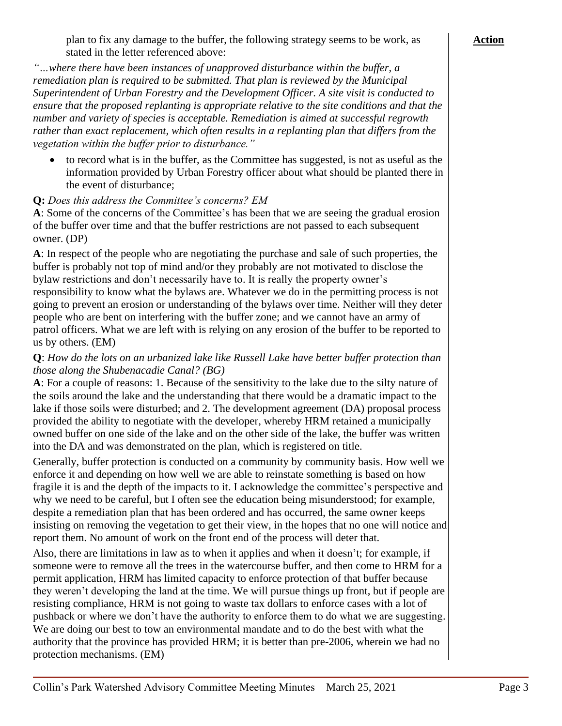*"…where there have been instances of unapproved disturbance within the buffer, a remediation plan is required to be submitted. That plan is reviewed by the Municipal Superintendent of Urban Forestry and the Development Officer. A site visit is conducted to ensure that the proposed replanting is appropriate relative to the site conditions and that the number and variety of species is acceptable. Remediation is aimed at successful regrowth rather than exact replacement, which often results in a replanting plan that differs from the vegetation within the buffer prior to disturbance."*

• to record what is in the buffer, as the Committee has suggested, is not as useful as the information provided by Urban Forestry officer about what should be planted there in the event of disturbance;

### **Q:** *Does this address the Committee's concerns? EM*

**A**: Some of the concerns of the Committee's has been that we are seeing the gradual erosion of the buffer over time and that the buffer restrictions are not passed to each subsequent owner. (DP)

**A**: In respect of the people who are negotiating the purchase and sale of such properties, the buffer is probably not top of mind and/or they probably are not motivated to disclose the bylaw restrictions and don't necessarily have to. It is really the property owner's responsibility to know what the bylaws are. Whatever we do in the permitting process is not going to prevent an erosion or understanding of the bylaws over time. Neither will they deter people who are bent on interfering with the buffer zone; and we cannot have an army of patrol officers. What we are left with is relying on any erosion of the buffer to be reported to us by others. (EM)

#### **Q**: *How do the lots on an urbanized lake like Russell Lake have better buffer protection than those along the Shubenacadie Canal? (BG)*

**A**: For a couple of reasons: 1. Because of the sensitivity to the lake due to the silty nature of the soils around the lake and the understanding that there would be a dramatic impact to the lake if those soils were disturbed; and 2. The development agreement (DA) proposal process provided the ability to negotiate with the developer, whereby HRM retained a municipally owned buffer on one side of the lake and on the other side of the lake, the buffer was written into the DA and was demonstrated on the plan, which is registered on title.

Generally, buffer protection is conducted on a community by community basis. How well we enforce it and depending on how well we are able to reinstate something is based on how fragile it is and the depth of the impacts to it. I acknowledge the committee's perspective and why we need to be careful, but I often see the education being misunderstood; for example, despite a remediation plan that has been ordered and has occurred, the same owner keeps insisting on removing the vegetation to get their view, in the hopes that no one will notice and report them. No amount of work on the front end of the process will deter that.

Also, there are limitations in law as to when it applies and when it doesn't; for example, if someone were to remove all the trees in the watercourse buffer, and then come to HRM for a permit application, HRM has limited capacity to enforce protection of that buffer because they weren't developing the land at the time. We will pursue things up front, but if people are resisting compliance, HRM is not going to waste tax dollars to enforce cases with a lot of pushback or where we don't have the authority to enforce them to do what we are suggesting. We are doing our best to tow an environmental mandate and to do the best with what the authority that the province has provided HRM; it is better than pre-2006, wherein we had no protection mechanisms. (EM)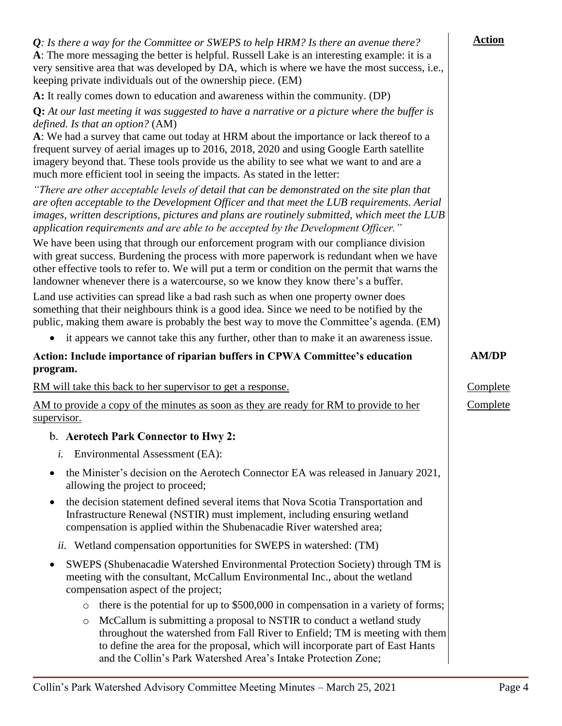| $Q$ : Is there a way for the Committee or SWEPS to help HRM? Is there an avenue there?<br>A: The more messaging the better is helpful. Russell Lake is an interesting example: it is a<br>very sensitive area that was developed by DA, which is where we have the most success, i.e.,<br>keeping private individuals out of the ownership piece. (EM)                                                                                                                                          | <b>Action</b> |
|-------------------------------------------------------------------------------------------------------------------------------------------------------------------------------------------------------------------------------------------------------------------------------------------------------------------------------------------------------------------------------------------------------------------------------------------------------------------------------------------------|---------------|
| A: It really comes down to education and awareness within the community. (DP)                                                                                                                                                                                                                                                                                                                                                                                                                   |               |
| Q: At our last meeting it was suggested to have a narrative or a picture where the buffer is<br>defined. Is that an option? (AM)<br>A: We had a survey that came out today at HRM about the importance or lack thereof to a<br>frequent survey of aerial images up to 2016, 2018, 2020 and using Google Earth satellite<br>imagery beyond that. These tools provide us the ability to see what we want to and are a<br>much more efficient tool in seeing the impacts. As stated in the letter: |               |
| "There are other acceptable levels of detail that can be demonstrated on the site plan that<br>are often acceptable to the Development Officer and that meet the LUB requirements. Aerial<br>images, written descriptions, pictures and plans are routinely submitted, which meet the LUB<br>application requirements and are able to be accepted by the Development Officer."                                                                                                                  |               |
| We have been using that through our enforcement program with our compliance division<br>with great success. Burdening the process with more paperwork is redundant when we have<br>other effective tools to refer to. We will put a term or condition on the permit that warns the<br>landowner whenever there is a watercourse, so we know they know there's a buffer.                                                                                                                         |               |
| Land use activities can spread like a bad rash such as when one property owner does<br>something that their neighbours think is a good idea. Since we need to be notified by the<br>public, making them aware is probably the best way to move the Committee's agenda. (EM)                                                                                                                                                                                                                     |               |
| it appears we cannot take this any further, other than to make it an awareness issue.                                                                                                                                                                                                                                                                                                                                                                                                           |               |
| Action: Include importance of riparian buffers in CPWA Committee's education<br>program.                                                                                                                                                                                                                                                                                                                                                                                                        | <b>AM/DP</b>  |
| RM will take this back to her supervisor to get a response.                                                                                                                                                                                                                                                                                                                                                                                                                                     | Complete      |
| AM to provide a copy of the minutes as soon as they are ready for RM to provide to her<br>supervisor.                                                                                                                                                                                                                                                                                                                                                                                           | Complete      |
| b. Aerotech Park Connector to Hwy 2:                                                                                                                                                                                                                                                                                                                                                                                                                                                            |               |
| Environmental Assessment (EA):<br>i.                                                                                                                                                                                                                                                                                                                                                                                                                                                            |               |
| the Minister's decision on the Aerotech Connector EA was released in January 2021,<br>allowing the project to proceed;                                                                                                                                                                                                                                                                                                                                                                          |               |
| the decision statement defined several items that Nova Scotia Transportation and<br>Infrastructure Renewal (NSTIR) must implement, including ensuring wetland<br>compensation is applied within the Shubenacadie River watershed area;                                                                                                                                                                                                                                                          |               |
| Wetland compensation opportunities for SWEPS in watershed: (TM)<br>ii.                                                                                                                                                                                                                                                                                                                                                                                                                          |               |
| SWEPS (Shubenacadie Watershed Environmental Protection Society) through TM is<br>meeting with the consultant, McCallum Environmental Inc., about the wetland<br>compensation aspect of the project;                                                                                                                                                                                                                                                                                             |               |
| there is the potential for up to \$500,000 in compensation in a variety of forms;<br>$\circ$                                                                                                                                                                                                                                                                                                                                                                                                    |               |
| McCallum is submitting a proposal to NSTIR to conduct a wetland study<br>$\circ$<br>throughout the watershed from Fall River to Enfield; TM is meeting with them<br>to define the area for the proposal, which will incorporate part of East Hants<br>and the Collin's Park Watershed Area's Intake Protection Zone;                                                                                                                                                                            |               |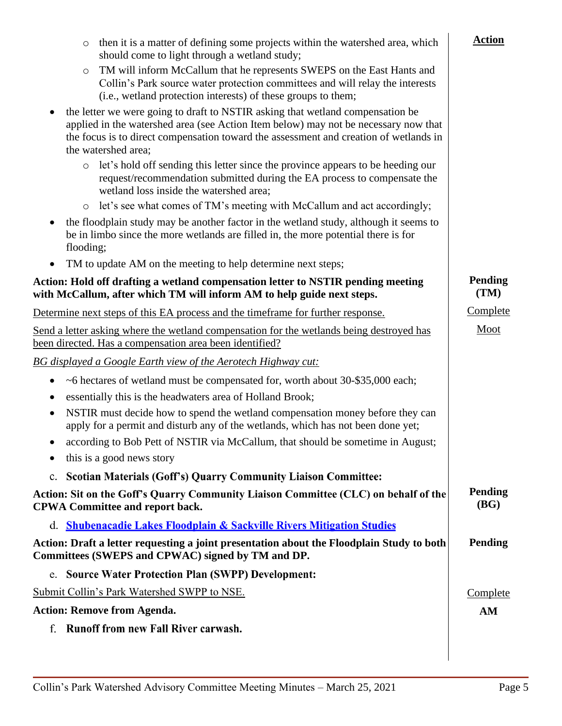| then it is a matter of defining some projects within the watershed area, which<br>$\circ$<br>should come to light through a wetland study;                                                                                                                                            | <b>Action</b>          |
|---------------------------------------------------------------------------------------------------------------------------------------------------------------------------------------------------------------------------------------------------------------------------------------|------------------------|
| TM will inform McCallum that he represents SWEPS on the East Hants and<br>$\circ$<br>Collin's Park source water protection committees and will relay the interests<br>(i.e., wetland protection interests) of these groups to them;                                                   |                        |
| the letter we were going to draft to NSTIR asking that wetland compensation be<br>applied in the watershed area (see Action Item below) may not be necessary now that<br>the focus is to direct compensation toward the assessment and creation of wetlands in<br>the watershed area; |                        |
| let's hold off sending this letter since the province appears to be heeding our<br>$\circ$<br>request/recommendation submitted during the EA process to compensate the<br>wetland loss inside the watershed area;                                                                     |                        |
| let's see what comes of TM's meeting with McCallum and act accordingly;<br>$\circ$                                                                                                                                                                                                    |                        |
| the floodplain study may be another factor in the wetland study, although it seems to<br>be in limbo since the more wetlands are filled in, the more potential there is for<br>flooding;                                                                                              |                        |
| TM to update AM on the meeting to help determine next steps;<br>$\bullet$                                                                                                                                                                                                             |                        |
| Action: Hold off drafting a wetland compensation letter to NSTIR pending meeting<br>with McCallum, after which TM will inform AM to help guide next steps.                                                                                                                            | <b>Pending</b><br>(TM) |
| Determine next steps of this EA process and the timeframe for further response.                                                                                                                                                                                                       | Complete               |
| Send a letter asking where the wetland compensation for the wetlands being destroyed has<br>been directed. Has a compensation area been identified?                                                                                                                                   | Moot                   |
| <b>BG</b> displayed a Google Earth view of the Aerotech Highway cut:                                                                                                                                                                                                                  |                        |
| ~6 hectares of wetland must be compensated for, worth about 30-\$35,000 each;<br>$\bullet$                                                                                                                                                                                            |                        |
| essentially this is the headwaters area of Holland Brook;                                                                                                                                                                                                                             |                        |
| NSTIR must decide how to spend the wetland compensation money before they can<br>$\bullet$<br>apply for a permit and disturb any of the wetlands, which has not been done yet;                                                                                                        |                        |
| according to Bob Pett of NSTIR via McCallum, that should be sometime in August;<br>this is a good news story                                                                                                                                                                          |                        |
| <b>Scotian Materials (Goff's) Quarry Community Liaison Committee:</b><br>$\mathbf{c}$ .                                                                                                                                                                                               |                        |
| Action: Sit on the Goff's Quarry Community Liaison Committee (CLC) on behalf of the<br><b>CPWA Committee and report back.</b>                                                                                                                                                         | <b>Pending</b><br>(BG) |
| d. Shubenacadie Lakes Floodplain & Sackville Rivers Mitigation Studies                                                                                                                                                                                                                |                        |
| Action: Draft a letter requesting a joint presentation about the Floodplain Study to both<br>Committees (SWEPS and CPWAC) signed by TM and DP.                                                                                                                                        | <b>Pending</b>         |
| e. Source Water Protection Plan (SWPP) Development:                                                                                                                                                                                                                                   |                        |
| Submit Collin's Park Watershed SWPP to NSE.                                                                                                                                                                                                                                           | Complete               |
| <b>Action: Remove from Agenda.</b>                                                                                                                                                                                                                                                    | AM                     |
| f. Runoff from new Fall River carwash.                                                                                                                                                                                                                                                |                        |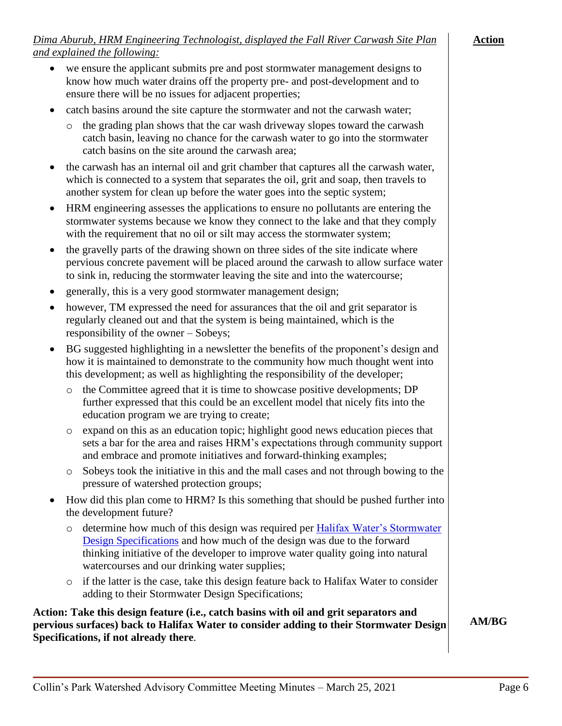# *Dima Aburub, HRM Engineering Technologist, displayed the Fall River Carwash Site Plan and explained the following:*

- we ensure the applicant submits pre and post stormwater management designs to
- know how much water drains off the property pre- and post-development and to ensure there will be no issues for adjacent properties;
- catch basins around the site capture the stormwater and not the carwash water;
	- o the grading plan shows that the car wash driveway slopes toward the carwash catch basin, leaving no chance for the carwash water to go into the stormwater catch basins on the site around the carwash area;
- the carwash has an internal oil and grit chamber that captures all the carwash water, which is connected to a system that separates the oil, grit and soap, then travels to another system for clean up before the water goes into the septic system;
- HRM engineering assesses the applications to ensure no pollutants are entering the stormwater systems because we know they connect to the lake and that they comply with the requirement that no oil or silt may access the stormwater system;
- the gravelly parts of the drawing shown on three sides of the site indicate where pervious concrete pavement will be placed around the carwash to allow surface water to sink in, reducing the stormwater leaving the site and into the watercourse;
- generally, this is a very good stormwater management design;
- however, TM expressed the need for assurances that the oil and grit separator is regularly cleaned out and that the system is being maintained, which is the responsibility of the owner – Sobeys;
- BG suggested highlighting in a newsletter the benefits of the proponent's design and how it is maintained to demonstrate to the community how much thought went into this development; as well as highlighting the responsibility of the developer;
	- o the Committee agreed that it is time to showcase positive developments; DP further expressed that this could be an excellent model that nicely fits into the education program we are trying to create;
	- o expand on this as an education topic; highlight good news education pieces that sets a bar for the area and raises HRM's expectations through community support and embrace and promote initiatives and forward-thinking examples;
	- o Sobeys took the initiative in this and the mall cases and not through bowing to the pressure of watershed protection groups;
- How did this plan come to HRM? Is this something that should be pushed further into the development future?
	- o determine how much of this design was required per [Halifax Water's Stormwater](https://halifaxwater.ca/sites/default/files/2020-03/2020%20Design%20Specifications%20-%20Halifax%20Water.pdf)  [Design Specifications](https://halifaxwater.ca/sites/default/files/2020-03/2020%20Design%20Specifications%20-%20Halifax%20Water.pdf) and how much of the design was due to the forward thinking initiative of the developer to improve water quality going into natural watercourses and our drinking water supplies;
	- o if the latter is the case, take this design feature back to Halifax Water to consider adding to their Stormwater Design Specifications;

**Action: Take this design feature (i.e., catch basins with oil and grit separators and pervious surfaces) back to Halifax Water to consider adding to their Stormwater Design Specifications, if not already there**.

**AM/BG**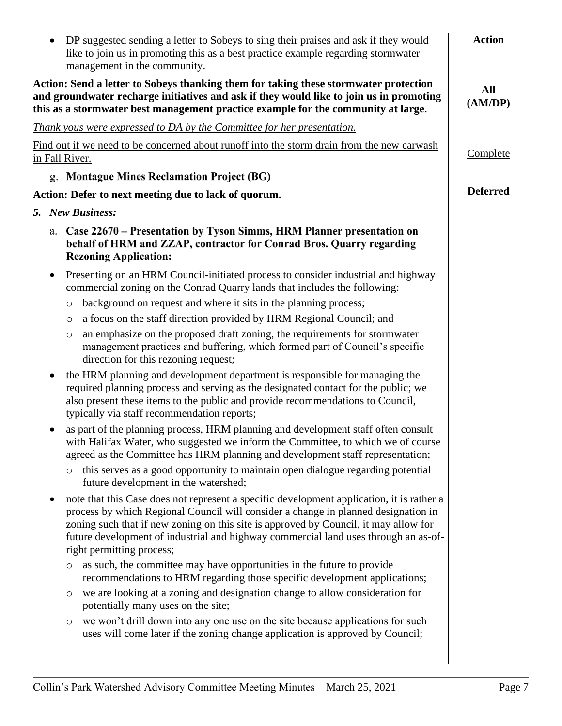|           | DP suggested sending a letter to Sobeys to sing their praises and ask if they would<br>like to join us in promoting this as a best practice example regarding stormwater<br>management in the community.                                                                                                                                                                                    | <b>Action</b>   |
|-----------|---------------------------------------------------------------------------------------------------------------------------------------------------------------------------------------------------------------------------------------------------------------------------------------------------------------------------------------------------------------------------------------------|-----------------|
|           | Action: Send a letter to Sobeys thanking them for taking these stormwater protection<br>and groundwater recharge initiatives and ask if they would like to join us in promoting<br>this as a stormwater best management practice example for the community at large.                                                                                                                        | All<br>(AM/DP)  |
|           | Thank yous were expressed to DA by the Committee for her presentation.                                                                                                                                                                                                                                                                                                                      |                 |
|           | Find out if we need to be concerned about runoff into the storm drain from the new carwash<br>in Fall River.                                                                                                                                                                                                                                                                                | Complete        |
|           | g. Montague Mines Reclamation Project (BG)                                                                                                                                                                                                                                                                                                                                                  |                 |
|           | Action: Defer to next meeting due to lack of quorum.                                                                                                                                                                                                                                                                                                                                        | <b>Deferred</b> |
|           | 5. New Business:                                                                                                                                                                                                                                                                                                                                                                            |                 |
|           | a. Case 22670 – Presentation by Tyson Simms, HRM Planner presentation on<br>behalf of HRM and ZZAP, contractor for Conrad Bros. Quarry regarding<br><b>Rezoning Application:</b>                                                                                                                                                                                                            |                 |
| $\bullet$ | Presenting on an HRM Council-initiated process to consider industrial and highway<br>commercial zoning on the Conrad Quarry lands that includes the following:                                                                                                                                                                                                                              |                 |
|           | background on request and where it sits in the planning process;<br>O                                                                                                                                                                                                                                                                                                                       |                 |
|           | a focus on the staff direction provided by HRM Regional Council; and<br>$\circ$                                                                                                                                                                                                                                                                                                             |                 |
|           | an emphasize on the proposed draft zoning, the requirements for stormwater<br>O<br>management practices and buffering, which formed part of Council's specific<br>direction for this rezoning request;                                                                                                                                                                                      |                 |
|           | the HRM planning and development department is responsible for managing the<br>required planning process and serving as the designated contact for the public; we<br>also present these items to the public and provide recommendations to Council,<br>typically via staff recommendation reports;                                                                                          |                 |
|           | as part of the planning process, HRM planning and development staff often consult<br>with Halifax Water, who suggested we inform the Committee, to which we of course<br>agreed as the Committee has HRM planning and development staff representation;                                                                                                                                     |                 |
|           | this serves as a good opportunity to maintain open dialogue regarding potential<br>$\circ$<br>future development in the watershed;                                                                                                                                                                                                                                                          |                 |
|           | note that this Case does not represent a specific development application, it is rather a<br>process by which Regional Council will consider a change in planned designation in<br>zoning such that if new zoning on this site is approved by Council, it may allow for<br>future development of industrial and highway commercial land uses through an as-of-<br>right permitting process; |                 |
|           | as such, the committee may have opportunities in the future to provide<br>$\circ$<br>recommendations to HRM regarding those specific development applications;                                                                                                                                                                                                                              |                 |
|           | we are looking at a zoning and designation change to allow consideration for<br>O<br>potentially many uses on the site;                                                                                                                                                                                                                                                                     |                 |
|           | we won't drill down into any one use on the site because applications for such<br>$\circ$<br>uses will come later if the zoning change application is approved by Council;                                                                                                                                                                                                                  |                 |
|           |                                                                                                                                                                                                                                                                                                                                                                                             |                 |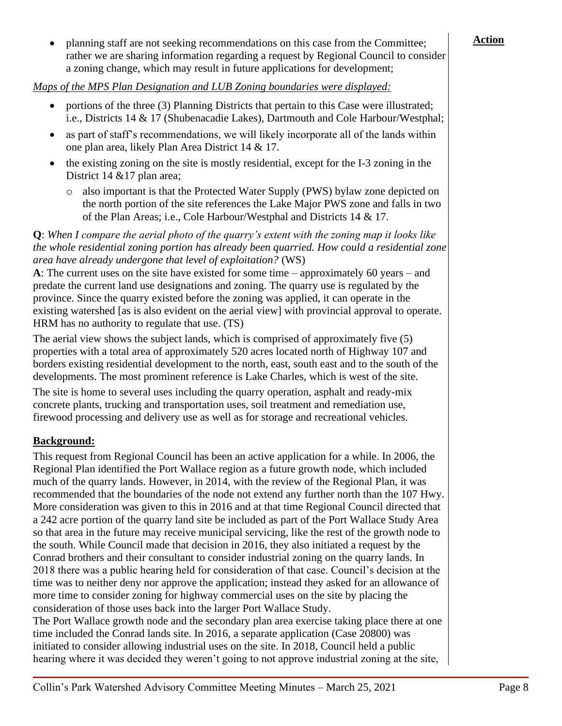• planning staff are not seeking recommendations on this case from the Committee; rather we are sharing information regarding a request by Regional Council to consider a zoning change, which may result in future applications for development;

*Maps of the MPS Plan Designation and LUB Zoning boundaries were displayed:*

- portions of the three (3) Planning Districts that pertain to this Case were illustrated; i.e., Districts 14 & 17 (Shubenacadie Lakes), Dartmouth and Cole Harbour/Westphal;
- as part of staff's recommendations, we will likely incorporate all of the lands within one plan area, likely Plan Area District 14 & 17.
- the existing zoning on the site is mostly residential, except for the I-3 zoning in the District 14 & 17 plan area;
	- o also important is that the Protected Water Supply (PWS) bylaw zone depicted on the north portion of the site references the Lake Major PWS zone and falls in two of the Plan Areas; i.e., Cole Harbour/Westphal and Districts 14 & 17.

**Q**: *When I compare the aerial photo of the quarry's extent with the zoning map it looks like the whole residential zoning portion has already been quarried. How could a residential zone area have already undergone that level of exploitation?* (WS)

**A**: The current uses on the site have existed for some time – approximately 60 years – and predate the current land use designations and zoning. The quarry use is regulated by the province. Since the quarry existed before the zoning was applied, it can operate in the existing watershed [as is also evident on the aerial view] with provincial approval to operate. HRM has no authority to regulate that use. (TS)

The aerial view shows the subject lands, which is comprised of approximately five (5) properties with a total area of approximately 520 acres located north of Highway 107 and borders existing residential development to the north, east, south east and to the south of the developments. The most prominent reference is Lake Charles, which is west of the site.

The site is home to several uses including the quarry operation, asphalt and ready-mix concrete plants, trucking and transportation uses, soil treatment and remediation use, firewood processing and delivery use as well as for storage and recreational vehicles.

# **Background:**

This request from Regional Council has been an active application for a while. In 2006, the Regional Plan identified the Port Wallace region as a future growth node, which included much of the quarry lands. However, in 2014, with the review of the Regional Plan, it was recommended that the boundaries of the node not extend any further north than the 107 Hwy. More consideration was given to this in 2016 and at that time Regional Council directed that a 242 acre portion of the quarry land site be included as part of the Port Wallace Study Area so that area in the future may receive municipal servicing, like the rest of the growth node to the south. While Council made that decision in 2016, they also initiated a request by the Conrad brothers and their consultant to consider industrial zoning on the quarry lands. In 2018 there was a public hearing held for consideration of that case. Council's decision at the time was to neither deny nor approve the application; instead they asked for an allowance of more time to consider zoning for highway commercial uses on the site by placing the consideration of those uses back into the larger Port Wallace Study.

The Port Wallace growth node and the secondary plan area exercise taking place there at one time included the Conrad lands site. In 2016, a separate application (Case 20800) was initiated to consider allowing industrial uses on the site. In 2018, Council held a public hearing where it was decided they weren't going to not approve industrial zoning at the site,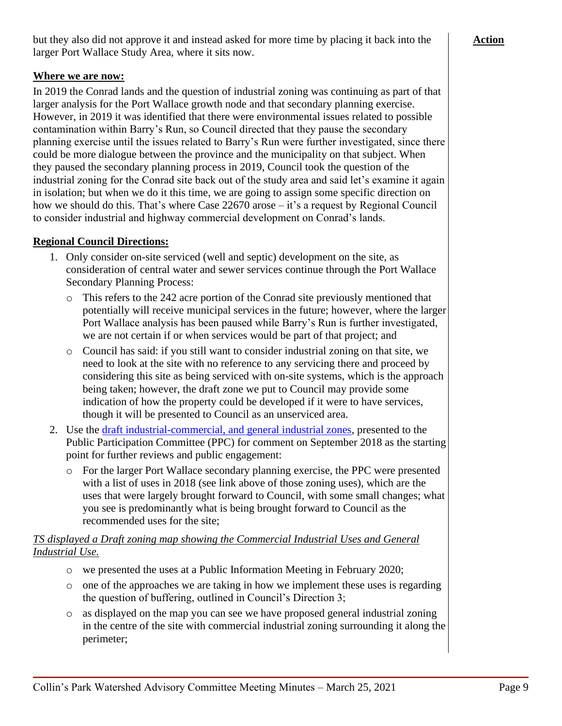but they also did not approve it and instead asked for more time by placing it back into the larger Port Wallace Study Area, where it sits now.

### **Where we are now:**

In 2019 the Conrad lands and the question of industrial zoning was continuing as part of that larger analysis for the Port Wallace growth node and that secondary planning exercise. However, in 2019 it was identified that there were environmental issues related to possible contamination within Barry's Run, so Council directed that they pause the secondary planning exercise until the issues related to Barry's Run were further investigated, since there could be more dialogue between the province and the municipality on that subject. When they paused the secondary planning process in 2019, Council took the question of the industrial zoning for the Conrad site back out of the study area and said let's examine it again in isolation; but when we do it this time, we are going to assign some specific direction on how we should do this. That's where Case 22670 arose – it's a request by Regional Council to consider industrial and highway commercial development on Conrad's lands.

### **Regional Council Directions:**

- 1. Only consider on-site serviced (well and septic) development on the site, as consideration of central water and sewer services continue through the Port Wallace Secondary Planning Process:
	- o This refers to the 242 acre portion of the Conrad site previously mentioned that potentially will receive municipal services in the future; however, where the larger Port Wallace analysis has been paused while Barry's Run is further investigated, we are not certain if or when services would be part of that project; and
	- o Council has said: if you still want to consider industrial zoning on that site, we need to look at the site with no reference to any servicing there and proceed by considering this site as being serviced with on-site systems, which is the approach being taken; however, the draft zone we put to Council may provide some indication of how the property could be developed if it were to have services, though it will be presented to Council as an unserviced area.
- 2. Use the [draft industrial-commercial, and general industrial zones,](https://www.halifax.ca/sites/default/files/documents/about-the-city/regional-community-planning/Draft%20Port%20Wallace%20Industrial%20Zones%20-%20Sept27_2018.pdf) presented to the Public Participation Committee (PPC) for comment on September 2018 as the starting point for further reviews and public engagement:
	- o For the larger Port Wallace secondary planning exercise, the PPC were presented with a list of uses in 2018 (see link above of those zoning uses), which are the uses that were largely brought forward to Council, with some small changes; what you see is predominantly what is being brought forward to Council as the recommended uses for the site;

### *TS displayed a Draft zoning map showing the Commercial Industrial Uses and General Industrial Use.*

- o we presented the uses at a Public Information Meeting in February 2020;
- o one of the approaches we are taking in how we implement these uses is regarding the question of buffering, outlined in Council's Direction 3;
- o as displayed on the map you can see we have proposed general industrial zoning in the centre of the site with commercial industrial zoning surrounding it along the perimeter;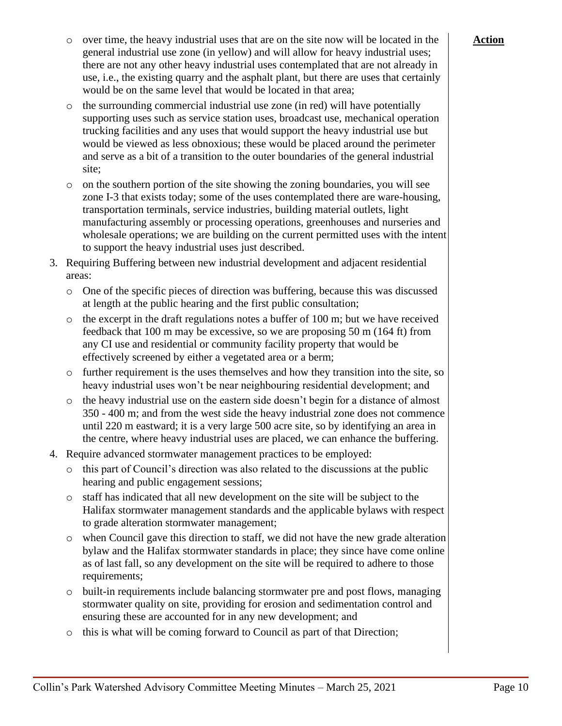- o over time, the heavy industrial uses that are on the site now will be located in the general industrial use zone (in yellow) and will allow for heavy industrial uses; there are not any other heavy industrial uses contemplated that are not already in use, i.e., the existing quarry and the asphalt plant, but there are uses that certainly would be on the same level that would be located in that area;
- o the surrounding commercial industrial use zone (in red) will have potentially supporting uses such as service station uses, broadcast use, mechanical operation trucking facilities and any uses that would support the heavy industrial use but would be viewed as less obnoxious; these would be placed around the perimeter and serve as a bit of a transition to the outer boundaries of the general industrial site;
- $\circ$  on the southern portion of the site showing the zoning boundaries, you will see zone I-3 that exists today; some of the uses contemplated there are ware-housing, transportation terminals, service industries, building material outlets, light manufacturing assembly or processing operations, greenhouses and nurseries and wholesale operations; we are building on the current permitted uses with the intent to support the heavy industrial uses just described.
- 3. Requiring Buffering between new industrial development and adjacent residential areas:
	- o One of the specific pieces of direction was buffering, because this was discussed at length at the public hearing and the first public consultation;
	- $\circ$  the excerpt in the draft regulations notes a buffer of 100 m; but we have received feedback that 100 m may be excessive, so we are proposing 50 m (164 ft) from any CI use and residential or community facility property that would be effectively screened by either a vegetated area or a berm;
	- $\circ$  further requirement is the uses themselves and how they transition into the site, so heavy industrial uses won't be near neighbouring residential development; and
	- o the heavy industrial use on the eastern side doesn't begin for a distance of almost 350 - 400 m; and from the west side the heavy industrial zone does not commence until 220 m eastward; it is a very large 500 acre site, so by identifying an area in the centre, where heavy industrial uses are placed, we can enhance the buffering.
- 4. Require advanced stormwater management practices to be employed:
	- o this part of Council's direction was also related to the discussions at the public hearing and public engagement sessions;
	- o staff has indicated that all new development on the site will be subject to the Halifax stormwater management standards and the applicable bylaws with respect to grade alteration stormwater management;
	- o when Council gave this direction to staff, we did not have the new grade alteration bylaw and the Halifax stormwater standards in place; they since have come online as of last fall, so any development on the site will be required to adhere to those requirements;
	- o built-in requirements include balancing stormwater pre and post flows, managing stormwater quality on site, providing for erosion and sedimentation control and ensuring these are accounted for in any new development; and
	- o this is what will be coming forward to Council as part of that Direction;

# **Action**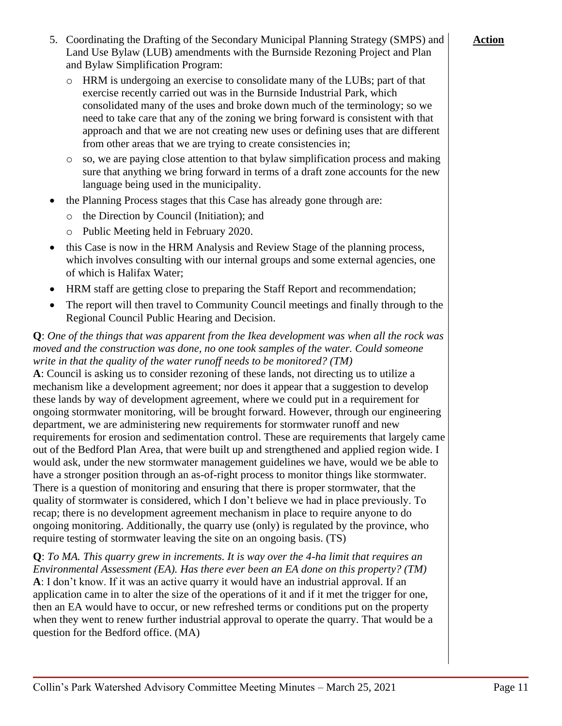- 5. Coordinating the Drafting of the Secondary Municipal Planning Strategy (SMPS) and Land Use Bylaw (LUB) amendments with the Burnside Rezoning Project and Plan and Bylaw Simplification Program:
	- o HRM is undergoing an exercise to consolidate many of the LUBs; part of that exercise recently carried out was in the Burnside Industrial Park, which consolidated many of the uses and broke down much of the terminology; so we need to take care that any of the zoning we bring forward is consistent with that approach and that we are not creating new uses or defining uses that are different from other areas that we are trying to create consistencies in;
	- $\circ$  so, we are paying close attention to that bylaw simplification process and making sure that anything we bring forward in terms of a draft zone accounts for the new language being used in the municipality.
- the Planning Process stages that this Case has already gone through are:
	- o the Direction by Council (Initiation); and
	- o Public Meeting held in February 2020.
- this Case is now in the HRM Analysis and Review Stage of the planning process, which involves consulting with our internal groups and some external agencies, one of which is Halifax Water;
- HRM staff are getting close to preparing the Staff Report and recommendation;
- The report will then travel to Community Council meetings and finally through to the Regional Council Public Hearing and Decision.

### **Q**: *One of the things that was apparent from the Ikea development was when all the rock was moved and the construction was done, no one took samples of the water. Could someone write in that the quality of the water runoff needs to be monitored? (TM)*

**A**: Council is asking us to consider rezoning of these lands, not directing us to utilize a mechanism like a development agreement; nor does it appear that a suggestion to develop these lands by way of development agreement, where we could put in a requirement for ongoing stormwater monitoring, will be brought forward. However, through our engineering department, we are administering new requirements for stormwater runoff and new requirements for erosion and sedimentation control. These are requirements that largely came out of the Bedford Plan Area, that were built up and strengthened and applied region wide. I would ask, under the new stormwater management guidelines we have, would we be able to have a stronger position through an as-of-right process to monitor things like stormwater. There is a question of monitoring and ensuring that there is proper stormwater, that the quality of stormwater is considered, which I don't believe we had in place previously. To recap; there is no development agreement mechanism in place to require anyone to do ongoing monitoring. Additionally, the quarry use (only) is regulated by the province, who require testing of stormwater leaving the site on an ongoing basis. (TS)

**Q**: *To MA. This quarry grew in increments. It is way over the 4-ha limit that requires an Environmental Assessment (EA). Has there ever been an EA done on this property? (TM)* **A**: I don't know. If it was an active quarry it would have an industrial approval. If an application came in to alter the size of the operations of it and if it met the trigger for one, then an EA would have to occur, or new refreshed terms or conditions put on the property when they went to renew further industrial approval to operate the quarry. That would be a question for the Bedford office. (MA)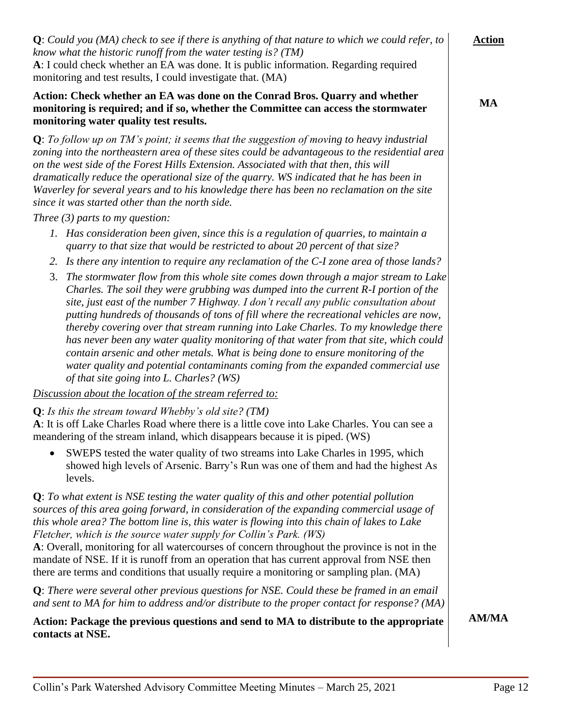| <b>Q</b> : There were several other previous questions for NSE. Could these be framed in an email<br>and sent to MA for him to address and/or distribute to the proper contact for response? (MA) |         |
|---------------------------------------------------------------------------------------------------------------------------------------------------------------------------------------------------|---------|
| Action: Package the previous questions and send to MA to distribute to the appropriate<br>contacts at NSE.                                                                                        | AM/MA   |
| Collin's Park Watershed Advisory Committee Meeting Minutes – March 25, 2021                                                                                                                       | Page 12 |

| monitoring and test results, I could investigate that. (MA)                                                                                                                                                                                                                                                                                                                                                                                                                                                                                                                                                                                                                                                                                                           |              |
|-----------------------------------------------------------------------------------------------------------------------------------------------------------------------------------------------------------------------------------------------------------------------------------------------------------------------------------------------------------------------------------------------------------------------------------------------------------------------------------------------------------------------------------------------------------------------------------------------------------------------------------------------------------------------------------------------------------------------------------------------------------------------|--------------|
| Action: Check whether an EA was done on the Conrad Bros. Quarry and whether<br>monitoring is required; and if so, whether the Committee can access the stormwater<br>monitoring water quality test results.                                                                                                                                                                                                                                                                                                                                                                                                                                                                                                                                                           | MA           |
| $Q$ : To follow up on TM's point; it seems that the suggestion of moving to heavy industrial<br>zoning into the northeastern area of these sites could be advantageous to the residential area<br>on the west side of the Forest Hills Extension. Associated with that then, this will<br>dramatically reduce the operational size of the quarry. WS indicated that he has been in<br>Waverley for several years and to his knowledge there has been no reclamation on the site<br>since it was started other than the north side.                                                                                                                                                                                                                                    |              |
| Three $(3)$ parts to my question:<br>1. Has consideration been given, since this is a regulation of quarries, to maintain a                                                                                                                                                                                                                                                                                                                                                                                                                                                                                                                                                                                                                                           |              |
| quarry to that size that would be restricted to about 20 percent of that size?                                                                                                                                                                                                                                                                                                                                                                                                                                                                                                                                                                                                                                                                                        |              |
| 2. Is there any intention to require any reclamation of the C-I zone area of those lands?                                                                                                                                                                                                                                                                                                                                                                                                                                                                                                                                                                                                                                                                             |              |
| The stormwater flow from this whole site comes down through a major stream to Lake<br>3.<br>Charles. The soil they were grubbing was dumped into the current R-I portion of the<br>site, just east of the number 7 Highway. I don't recall any public consultation about<br>putting hundreds of thousands of tons of fill where the recreational vehicles are now,<br>thereby covering over that stream running into Lake Charles. To my knowledge there<br>has never been any water quality monitoring of that water from that site, which could<br>contain arsenic and other metals. What is being done to ensure monitoring of the<br>water quality and potential contaminants coming from the expanded commercial use<br>of that site going into L. Charles? (WS) |              |
| Discussion about the location of the stream referred to:                                                                                                                                                                                                                                                                                                                                                                                                                                                                                                                                                                                                                                                                                                              |              |
| $Q$ : Is this the stream toward Whebby's old site? (TM)<br>A: It is off Lake Charles Road where there is a little cove into Lake Charles. You can see a<br>meandering of the stream inland, which disappears because it is piped. (WS)                                                                                                                                                                                                                                                                                                                                                                                                                                                                                                                                |              |
| SWEPS tested the water quality of two streams into Lake Charles in 1995, which<br>$\bullet$<br>showed high levels of Arsenic. Barry's Run was one of them and had the highest As<br>levels.                                                                                                                                                                                                                                                                                                                                                                                                                                                                                                                                                                           |              |
| $Q:$ To what extent is NSE testing the water quality of this and other potential pollution<br>sources of this area going forward, in consideration of the expanding commercial usage of<br>this whole area? The bottom line is, this water is flowing into this chain of lakes to Lake<br>Fletcher, which is the source water supply for Collin's Park. (WS)<br>A: Overall, monitoring for all watercourses of concern throughout the province is not in the<br>mandate of NSE. If it is runoff from an operation that has current approval from NSE then<br>there are terms and conditions that usually require a monitoring or sampling plan. (MA)                                                                                                                  |              |
| $Q$ : There were several other previous questions for NSE. Could these be framed in an email<br>and sent to MA for him to address and/or distribute to the proper contact for response? (MA)                                                                                                                                                                                                                                                                                                                                                                                                                                                                                                                                                                          |              |
| Action: Package the previous questions and send to MA to distribute to the appropriate<br>contacts at NSE.                                                                                                                                                                                                                                                                                                                                                                                                                                                                                                                                                                                                                                                            | <b>AM/MA</b> |

**Q**: *Could you (MA) check to see if there is anything of that nature to which we could refer, to* 

**A**: I could check whether an EA was done. It is public information. Regarding required

*know what the historic runoff from the water testing is? (TM)*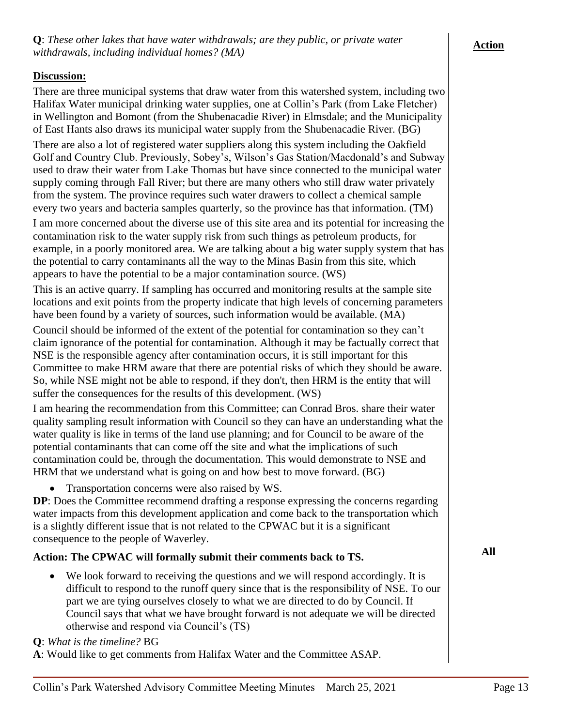### **Discussion:**

There are three municipal systems that draw water from this watershed system, including two Halifax Water municipal drinking water supplies, one at Collin's Park (from Lake Fletcher) in Wellington and Bomont (from the Shubenacadie River) in Elmsdale; and the Municipality of East Hants also draws its municipal water supply from the Shubenacadie River. (BG)

There are also a lot of registered water suppliers along this system including the Oakfield Golf and Country Club. Previously, Sobey's, Wilson's Gas Station/Macdonald's and Subway used to draw their water from Lake Thomas but have since connected to the municipal water supply coming through Fall River; but there are many others who still draw water privately from the system. The province requires such water drawers to collect a chemical sample every two years and bacteria samples quarterly, so the province has that information. (TM) I am more concerned about the diverse use of this site area and its potential for increasing the contamination risk to the water supply risk from such things as petroleum products, for example, in a poorly monitored area. We are talking about a big water supply system that has

the potential to carry contaminants all the way to the Minas Basin from this site, which appears to have the potential to be a major contamination source. (WS)

This is an active quarry. If sampling has occurred and monitoring results at the sample site locations and exit points from the property indicate that high levels of concerning parameters have been found by a variety of sources, such information would be available. (MA)

Council should be informed of the extent of the potential for contamination so they can't claim ignorance of the potential for contamination. Although it may be factually correct that NSE is the responsible agency after contamination occurs, it is still important for this Committee to make HRM aware that there are potential risks of which they should be aware. So, while NSE might not be able to respond, if they don't, then HRM is the entity that will suffer the consequences for the results of this development. (WS)

I am hearing the recommendation from this Committee; can Conrad Bros. share their water quality sampling result information with Council so they can have an understanding what the water quality is like in terms of the land use planning; and for Council to be aware of the potential contaminants that can come off the site and what the implications of such contamination could be, through the documentation. This would demonstrate to NSE and HRM that we understand what is going on and how best to move forward. (BG)

• Transportation concerns were also raised by WS.

**Q**: *What is the timeline?* BG

**DP**: Does the Committee recommend drafting a response expressing the concerns regarding water impacts from this development application and come back to the transportation which is a slightly different issue that is not related to the CPWAC but it is a significant consequence to the people of Waverley.

# **Action: The CPWAC will formally submit their comments back to TS.**

• We look forward to receiving the questions and we will respond accordingly. It is difficult to respond to the runoff query since that is the responsibility of NSE. To our part we are tying ourselves closely to what we are directed to do by Council. If Council says that what we have brought forward is not adequate we will be directed otherwise and respond via Council's (TS)

**All**

#### **Action**